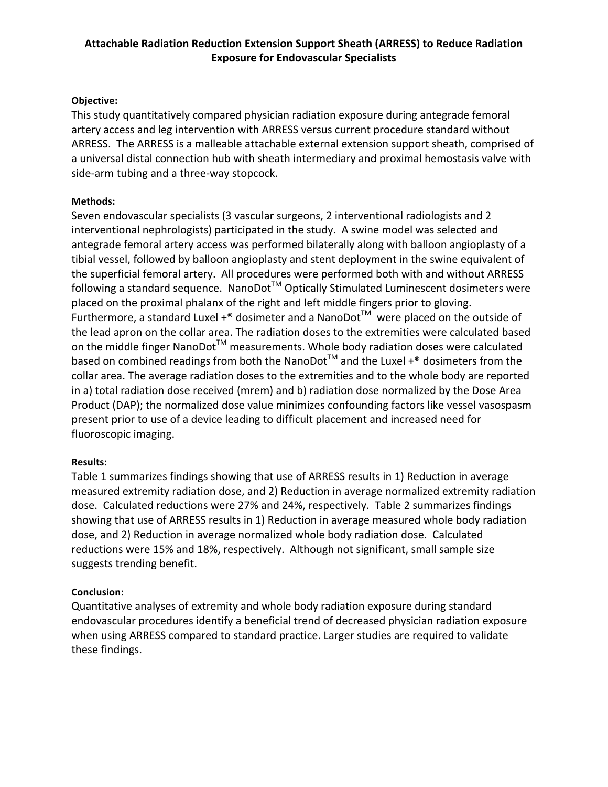# **Attachable Radiation Reduction Extension Support Sheath (ARRESS) to Reduce Radiation Exposure for Endovascular Specialists**

### **Objective:**

This study quantitatively compared physician radiation exposure during antegrade femoral artery access and leg intervention with ARRESS versus current procedure standard without ARRESS. The ARRESS is a malleable attachable external extension support sheath, comprised of a universal distal connection hub with sheath intermediary and proximal hemostasis valve with side-arm tubing and a three-way stopcock.

### **Methods:**

Seven endovascular specialists (3 vascular surgeons, 2 interventional radiologists and 2 interventional nephrologists) participated in the study. A swine model was selected and antegrade femoral artery access was performed bilaterally along with balloon angioplasty of a tibial vessel, followed by balloon angioplasty and stent deployment in the swine equivalent of the superficial femoral artery. All procedures were performed both with and without ARRESS following a standard sequence. NanoDot<sup>™</sup> Optically Stimulated Luminescent dosimeters were placed on the proximal phalanx of the right and left middle fingers prior to gloving. Furthermore, a standard Luxel +<sup>®</sup> dosimeter and a NanoDot<sup>™</sup> were placed on the outside of the lead apron on the collar area. The radiation doses to the extremities were calculated based on the middle finger NanoDot<sup>™</sup> measurements. Whole body radiation doses were calculated based on combined readings from both the NanoDot<sup>TM</sup> and the Luxel  $+^{\circ}$  dosimeters from the collar area. The average radiation doses to the extremities and to the whole body are reported in a) total radiation dose received (mrem) and b) radiation dose normalized by the Dose Area Product (DAP); the normalized dose value minimizes confounding factors like vessel vasospasm present prior to use of a device leading to difficult placement and increased need for fluoroscopic imaging.

## **Results:**

Table 1 summarizes findings showing that use of ARRESS results in 1) Reduction in average measured extremity radiation dose, and 2) Reduction in average normalized extremity radiation dose. Calculated reductions were 27% and 24%, respectively. Table 2 summarizes findings showing that use of ARRESS results in 1) Reduction in average measured whole body radiation dose, and 2) Reduction in average normalized whole body radiation dose. Calculated reductions were 15% and 18%, respectively. Although not significant, small sample size suggests trending benefit.

## **Conclusion:**

Quantitative analyses of extremity and whole body radiation exposure during standard endovascular procedures identify a beneficial trend of decreased physician radiation exposure when using ARRESS compared to standard practice. Larger studies are required to validate these findings.